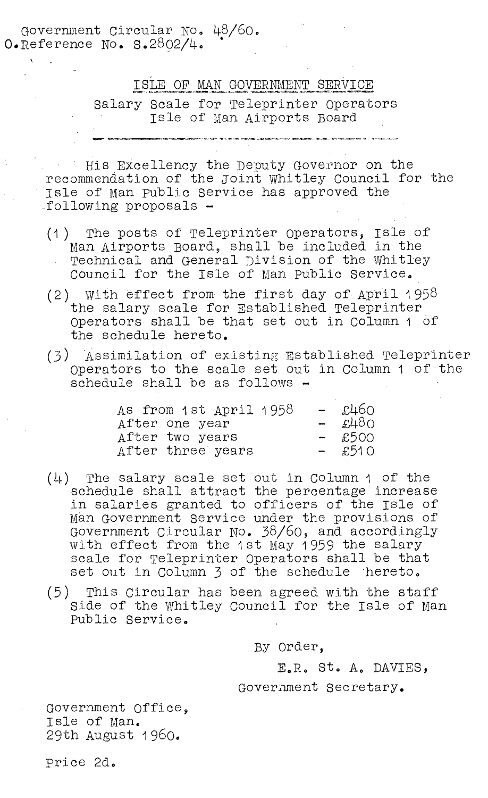Government Circular No. 48/60. O.Reference No. S.2802/4.

## ISLE OF MAN GOVERNMENT SERVICE

Salary Scale for Teleprinter Operators Isle of man Airports Board

His Excellency the Deputy Governor on the recommendation of the joint Whitley Council for the Isle of Man public Service has approved the \_following proposals -

- (1) The posts of Teleprinter Operators, Isle of Man Airports Board, shall be included in the Technical and General Division of the Whitley Council for the Isle of man. public Service.
- (2) With effect from the first day of April 1 958 the salary scale for Established Teleprinter Operators shall be that set out in Column 1 of the schedule hereto.
- (3) Assimilation of existing Established Teleprinter Operators to the scale set out in Column 1 of the schedule shall be as follows -

| As from 1st April 1958 | – £460        |
|------------------------|---------------|
| After one year         | $ \pounds480$ |
| After two years        | $-$ £500      |
| After three years      | $-$ £510      |

- (4) The salary scale set out in Column 1 of the schedule shall attract the percentage increase in salaries granted to officers of the Isle of man Government Service under the provisions of Government Circular No. 38/60, and accordingly with effect from the 1st May 1959 the salary scale for Teleprinter Operators shall be that set out in Column 3 of the schedule 'hereto,
- (5) This Circular has been agreed with the staff Side of the Whitley Council for the Isle of Man public Service.

By Order,

E.R. St. A. DAVIES,

## Government Secretary.

Government Office, Isle of Man. 29th August 1960.

price 2d.